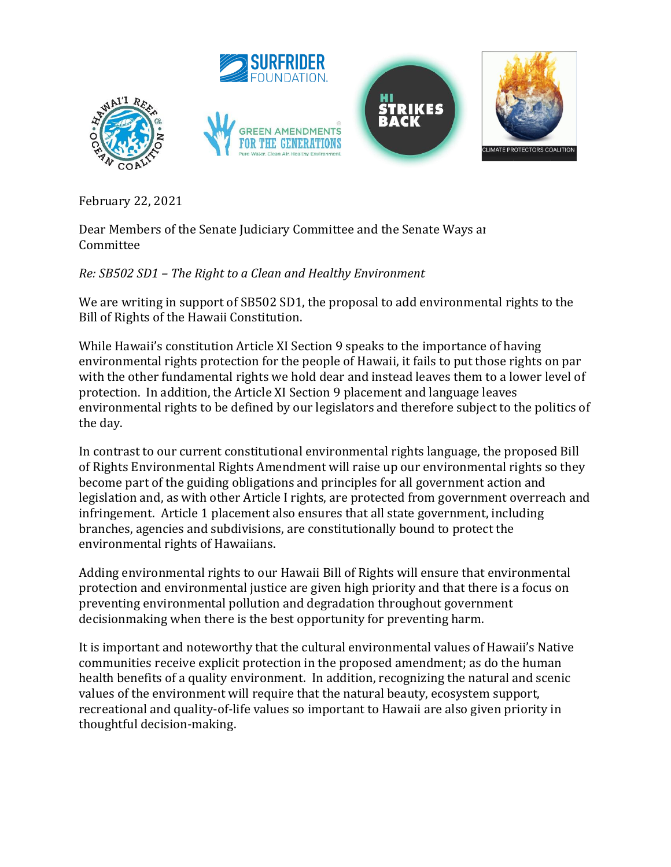

February 22, 2021

Dear Members of the Senate Judiciary Committee and the Senate Ways and Committee

## *Re: SB502 SD1 – The Right to a Clean and Healthy Environment*

We are writing in support of SB502 SD1, the proposal to add environmental rights to the Bill of Rights of the Hawaii Constitution.

While Hawaii's constitution Article XI Section 9 speaks to the importance of having environmental rights protection for the people of Hawaii, it fails to put those rights on par with the other fundamental rights we hold dear and instead leaves them to a lower level of protection. In addition, the Article XI Section 9 placement and language leaves environmental rights to be defined by our legislators and therefore subject to the politics of the day.

In contrast to our current constitutional environmental rights language, the proposed Bill of Rights Environmental Rights Amendment will raise up our environmental rights so they become part of the guiding obligations and principles for all government action and legislation and, as with other Article I rights, are protected from government overreach and infringement. Article 1 placement also ensures that all state government, including branches, agencies and subdivisions, are constitutionally bound to protect the environmental rights of Hawaiians.

Adding environmental rights to our Hawaii Bill of Rights will ensure that environmental protection and environmental justice are given high priority and that there is a focus on preventing environmental pollution and degradation throughout government decisionmaking when there is the best opportunity for preventing harm.

It is important and noteworthy that the cultural environmental values of Hawaii's Native communities receive explicit protection in the proposed amendment; as do the human health benefits of a quality environment. In addition, recognizing the natural and scenic values of the environment will require that the natural beauty, ecosystem support, recreational and quality-of-life values so important to Hawaii are also given priority in thoughtful decision-making.